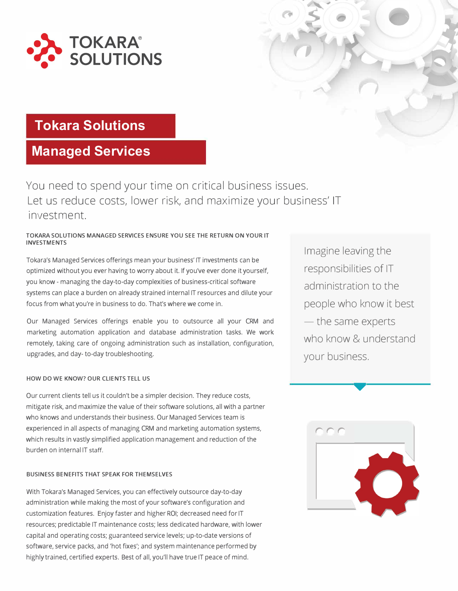

## **Tokara Solutions**

## **Managed Services**

You need to spend your time on critical business issues. Let us reduce costs, lower risk, and maximize your business' IT investment.

#### **TOKARA SOLUTIONS MANAGED SERVICES ENSURE YOU SEE THE RETURN ON YOUR IT INVESTMENTS**

Tokara's Managed Services offerings mean your business' IT investments can be optimized without you ever having to worry about it. If you've ever done it yourself, you know - managing the day-to-day complexities of business-critical software systems can place a burden on already strained internal IT resources and dilute your focus from what you're in business to do. That's where we come in.

Our Managed Services offerings enable you to outsource all your CRM and marketing automation application and database administration tasks. We work remotely, taking care of ongoing administration such as installation, configuration, upgrades, and day- to-day troubleshooting.

#### **HOW DO WE KNOW? OUR CLIENTS TELL US**

Our current clients tell us it couldn't be a simpler decision. They reduce costs, mitigate risk, and maximize the value of their software solutions, all with a partner who knows and understands their business. Our Managed Services team is experienced in all aspects of managing CRM and marketing automation systems, which results in vastly simplified application management and reduction of the burden on internal IT staff.

#### **BUSINESS BENEFITS THAT SPEAK FOR THEMSELVES**

With Tokara's Managed Services, you can effectively outsource day-to-day administration while making the most of your software's configuration and customization features. Enjoy faster and higher ROI; decreased need for IT resources; predictable IT maintenance costs; less dedicated hardware, with lower capital and operating costs; guaranteed service levels; up-to-date versions of software, service packs, and 'hot fixes'; and system maintenance performed by highly trained, certified experts. Best of all, you'll have true IT peace of mind.

Imagine leaving the responsibilities of IT administration to the people who know it best  $-$  the same experts who know & understand your business.

*I* 

,



•